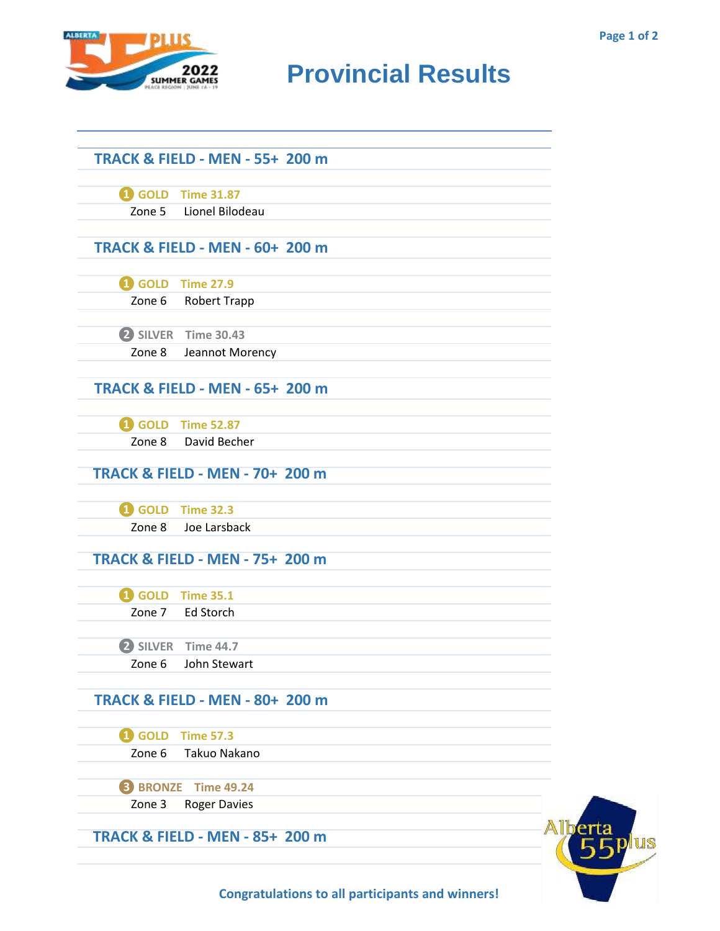

## **RIDER CAMES PROVINCIAL RESULTS**

|                 | <b>TRACK &amp; FIELD - MEN - 55+ 200 m</b> |  |  |
|-----------------|--------------------------------------------|--|--|
|                 |                                            |  |  |
|                 | 4 GOLD Time 31.87                          |  |  |
|                 | Zone 5 Lionel Bilodeau                     |  |  |
|                 |                                            |  |  |
|                 | <b>TRACK &amp; FIELD - MEN - 60+ 200 m</b> |  |  |
|                 | 4 GOLD Time 27.9                           |  |  |
| Zone 6          | Robert Trapp                               |  |  |
|                 |                                            |  |  |
|                 | 2 SILVER Time 30.43                        |  |  |
| Zone 8          | Jeannot Morency                            |  |  |
|                 |                                            |  |  |
|                 | <b>TRACK &amp; FIELD - MEN - 65+ 200 m</b> |  |  |
|                 |                                            |  |  |
|                 | 4 GOLD Time 52.87                          |  |  |
| Zone 8          | David Becher                               |  |  |
|                 | <b>TRACK &amp; FIELD - MEN - 70+ 200 m</b> |  |  |
|                 |                                            |  |  |
|                 | <b>1</b> GOLD Time 32.3                    |  |  |
| Zone 8          | Joe Larsback                               |  |  |
|                 |                                            |  |  |
|                 | <b>TRACK &amp; FIELD - MEN - 75+ 200 m</b> |  |  |
|                 | <b>1</b> GOLD Time 35.1                    |  |  |
| Zone 7          | <b>Ed Storch</b>                           |  |  |
|                 |                                            |  |  |
|                 | 2 SILVER Time 44.7                         |  |  |
| Zone 6          | John Stewart                               |  |  |
|                 |                                            |  |  |
|                 | <b>TRACK &amp; FIELD - MEN - 80+ 200 m</b> |  |  |
|                 | <b>1</b> GOLD Time 57.3                    |  |  |
| Zone 6          | Takuo Nakano                               |  |  |
|                 |                                            |  |  |
| <b>B</b> BRONZE | <b>Time 49.24</b>                          |  |  |
| Zone 3          | <b>Roger Davies</b>                        |  |  |
|                 |                                            |  |  |
|                 | <b>TRACK &amp; FIELD - MEN - 85+ 200 m</b> |  |  |
|                 |                                            |  |  |



**Congratulations to all participants and winners!**